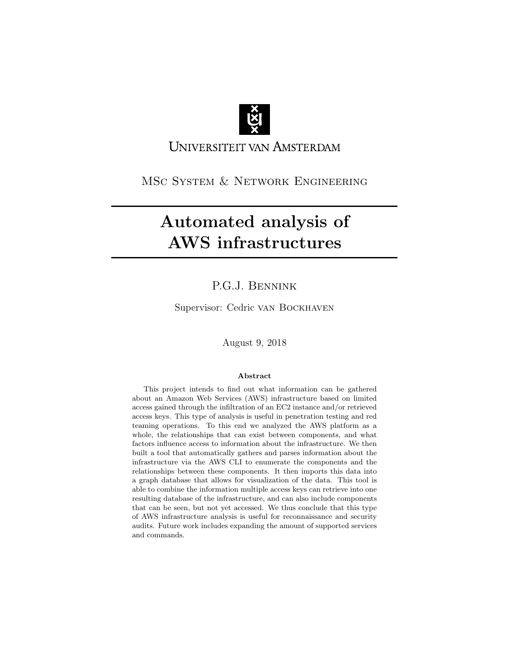

UNIVERSITEIT VAN AMSTERDAM

MSc System & Network Engineering

# Automated analysis of AWS infrastructures

# P.G.J. Bennink

Supervisor: Cedric van Bockhaven

August 9, 2018

### Abstract

This project intends to find out what information can be gathered about an Amazon Web Services (AWS) infrastructure based on limited access gained through the infiltration of an EC2 instance and/or retrieved access keys. This type of analysis is useful in penetration testing and red teaming operations. To this end we analyzed the AWS platform as a whole, the relationships that can exist between components, and what factors influence access to information about the infrastructure. We then built a tool that automatically gathers and parses information about the infrastructure via the AWS CLI to enumerate the components and the relationships between these components. It then imports this data into a graph database that allows for visualization of the data. This tool is able to combine the information multiple access keys can retrieve into one resulting database of the infrastructure, and can also include components that can be seen, but not yet accessed. We thus conclude that this type of AWS infrastructure analysis is useful for reconnaissance and security audits. Future work includes expanding the amount of supported services and commands.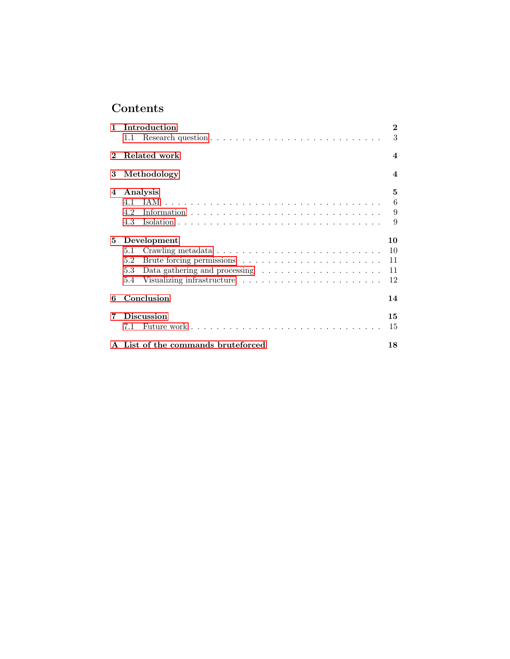# Contents

| $\mathbf{1}$   |                                  | Introduction                                                              | $\bf{2}$         |  |
|----------------|----------------------------------|---------------------------------------------------------------------------|------------------|--|
|                | $1.1 -$                          |                                                                           | 3                |  |
| $\overline{2}$ | Related work<br>$\boldsymbol{4}$ |                                                                           |                  |  |
| 3              |                                  | Methodology                                                               | $\boldsymbol{4}$ |  |
| 4              |                                  | Analysis                                                                  | 5                |  |
|                |                                  |                                                                           | 6                |  |
|                | 4.2                              |                                                                           | 9                |  |
|                | 4.3                              |                                                                           | 9                |  |
| 5.             | Development                      |                                                                           |                  |  |
|                | 5.1                              |                                                                           | 10               |  |
|                | 5.2                              |                                                                           | 11               |  |
|                | $5.3 -$                          | Data gathering and processing $\ldots \ldots \ldots \ldots \ldots \ldots$ | 11               |  |
|                | 5.4                              |                                                                           | 12               |  |
| 6              | Conclusion                       |                                                                           | 14               |  |
| 7              | <b>Discussion</b>                |                                                                           |                  |  |
|                | 7.1                              |                                                                           | 15               |  |
|                |                                  | A List of the commands bruteforced                                        | 18               |  |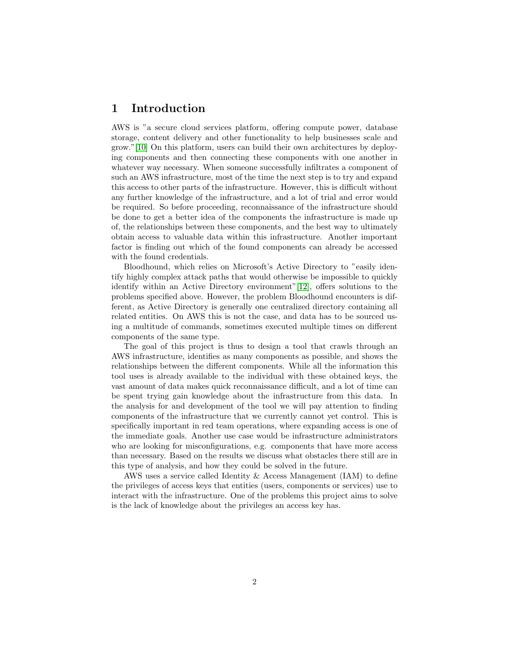# <span id="page-2-0"></span>1 Introduction

AWS is "a secure cloud services platform, offering compute power, database storage, content delivery and other functionality to help businesses scale and grow."[\[10\]](#page-17-0) On this platform, users can build their own architectures by deploying components and then connecting these components with one another in whatever way necessary. When someone successfully infiltrates a component of such an AWS infrastructure, most of the time the next step is to try and expand this access to other parts of the infrastructure. However, this is difficult without any further knowledge of the infrastructure, and a lot of trial and error would be required. So before proceeding, reconnaissance of the infrastructure should be done to get a better idea of the components the infrastructure is made up of, the relationships between these components, and the best way to ultimately obtain access to valuable data within this infrastructure. Another important factor is finding out which of the found components can already be accessed with the found credentials.

Bloodhound, which relies on Microsoft's Active Directory to "easily identify highly complex attack paths that would otherwise be impossible to quickly identify within an Active Directory environment"[\[12\]](#page-17-1), offers solutions to the problems specified above. However, the problem Bloodhound encounters is different, as Active Directory is generally one centralized directory containing all related entities. On AWS this is not the case, and data has to be sourced using a multitude of commands, sometimes executed multiple times on different components of the same type.

The goal of this project is thus to design a tool that crawls through an AWS infrastructure, identifies as many components as possible, and shows the relationships between the different components. While all the information this tool uses is already available to the individual with these obtained keys, the vast amount of data makes quick reconnaissance difficult, and a lot of time can be spent trying gain knowledge about the infrastructure from this data. In the analysis for and development of the tool we will pay attention to finding components of the infrastructure that we currently cannot yet control. This is specifically important in red team operations, where expanding access is one of the immediate goals. Another use case would be infrastructure administrators who are looking for misconfigurations, e.g. components that have more access than necessary. Based on the results we discuss what obstacles there still are in this type of analysis, and how they could be solved in the future.

AWS uses a service called Identity & Access Management (IAM) to define the privileges of access keys that entities (users, components or services) use to interact with the infrastructure. One of the problems this project aims to solve is the lack of knowledge about the privileges an access key has.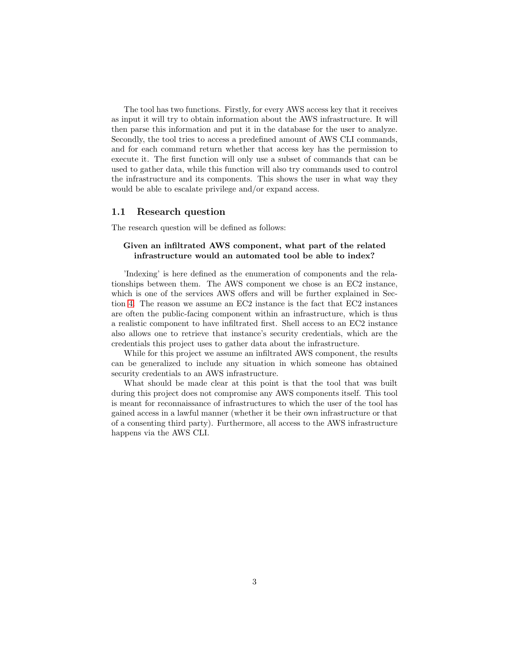The tool has two functions. Firstly, for every AWS access key that it receives as input it will try to obtain information about the AWS infrastructure. It will then parse this information and put it in the database for the user to analyze. Secondly, the tool tries to access a predefined amount of AWS CLI commands, and for each command return whether that access key has the permission to execute it. The first function will only use a subset of commands that can be used to gather data, while this function will also try commands used to control the infrastructure and its components. This shows the user in what way they would be able to escalate privilege and/or expand access.

### <span id="page-3-0"></span>1.1 Research question

The research question will be defined as follows:

### Given an infiltrated AWS component, what part of the related infrastructure would an automated tool be able to index?

'Indexing' is here defined as the enumeration of components and the relationships between them. The AWS component we chose is an EC2 instance, which is one of the services AWS offers and will be further explained in Section [4.](#page-5-0) The reason we assume an EC2 instance is the fact that EC2 instances are often the public-facing component within an infrastructure, which is thus a realistic component to have infiltrated first. Shell access to an EC2 instance also allows one to retrieve that instance's security credentials, which are the credentials this project uses to gather data about the infrastructure.

While for this project we assume an infiltrated AWS component, the results can be generalized to include any situation in which someone has obtained security credentials to an AWS infrastructure.

What should be made clear at this point is that the tool that was built during this project does not compromise any AWS components itself. This tool is meant for reconnaissance of infrastructures to which the user of the tool has gained access in a lawful manner (whether it be their own infrastructure or that of a consenting third party). Furthermore, all access to the AWS infrastructure happens via the AWS CLI.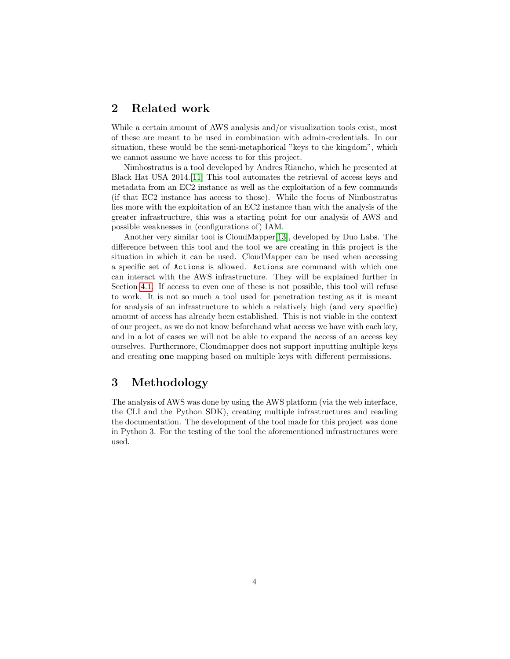# <span id="page-4-0"></span>2 Related work

While a certain amount of AWS analysis and/or visualization tools exist, most of these are meant to be used in combination with admin-credentials. In our situation, these would be the semi-metaphorical "keys to the kingdom", which we cannot assume we have access to for this project.

Nimbostratus is a tool developed by Andres Riancho, which he presented at Black Hat USA 2014.[\[11\]](#page-17-2) This tool automates the retrieval of access keys and metadata from an EC2 instance as well as the exploitation of a few commands (if that EC2 instance has access to those). While the focus of Nimbostratus lies more with the exploitation of an EC2 instance than with the analysis of the greater infrastructure, this was a starting point for our analysis of AWS and possible weaknesses in (configurations of) IAM.

Another very similar tool is CloudMapper[\[13\]](#page-17-3), developed by Duo Labs. The difference between this tool and the tool we are creating in this project is the situation in which it can be used. CloudMapper can be used when accessing a specific set of Actions is allowed. Actions are command with which one can interact with the AWS infrastructure. They will be explained further in Section [4.1.](#page-6-0) If access to even one of these is not possible, this tool will refuse to work. It is not so much a tool used for penetration testing as it is meant for analysis of an infrastructure to which a relatively high (and very specific) amount of access has already been established. This is not viable in the context of our project, as we do not know beforehand what access we have with each key, and in a lot of cases we will not be able to expand the access of an access key ourselves. Furthermore, Cloudmapper does not support inputting multiple keys and creating one mapping based on multiple keys with different permissions.

# <span id="page-4-1"></span>3 Methodology

The analysis of AWS was done by using the AWS platform (via the web interface, the CLI and the Python SDK), creating multiple infrastructures and reading the documentation. The development of the tool made for this project was done in Python 3. For the testing of the tool the aforementioned infrastructures were used.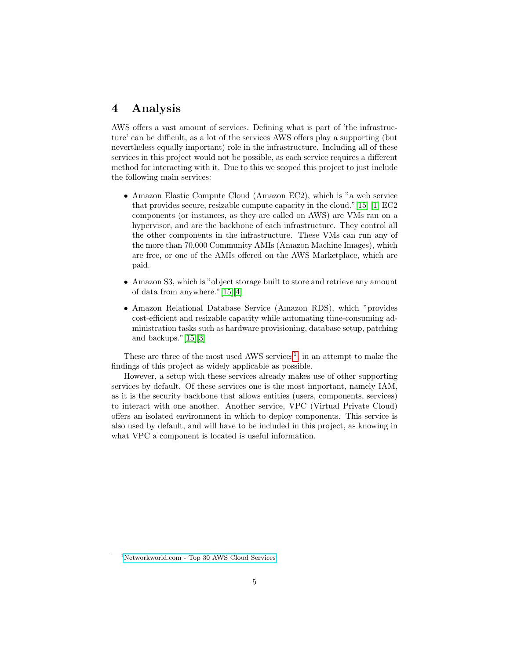# <span id="page-5-0"></span>4 Analysis

AWS offers a vast amount of services. Defining what is part of 'the infrastructure' can be difficult, as a lot of the services AWS offers play a supporting (but nevertheless equally important) role in the infrastructure. Including all of these services in this project would not be possible, as each service requires a different method for interacting with it. Due to this we scoped this project to just include the following main services:

- Amazon Elastic Compute Cloud (Amazon EC2), which is "a web service that provides secure, resizable compute capacity in the cloud."[\[15\]](#page-17-4) [\[1\]](#page-17-5) EC2 components (or instances, as they are called on AWS) are VMs ran on a hypervisor, and are the backbone of each infrastructure. They control all the other components in the infrastructure. These VMs can run any of the more than 70,000 Community AMIs (Amazon Machine Images), which are free, or one of the AMIs offered on the AWS Marketplace, which are paid.
- Amazon S3, which is "object storage built to store and retrieve any amount of data from anywhere."[\[15\]](#page-17-4)[\[4\]](#page-17-6)
- Amazon Relational Database Service (Amazon RDS), which "provides cost-efficient and resizable capacity while automating time-consuming administration tasks such as hardware provisioning, database setup, patching and backups."[\[15\]](#page-17-4)[\[3\]](#page-17-7)

These are three of the most used AWS services<sup>[1](#page-5-1)</sup>, in an attempt to make the findings of this project as widely applicable as possible.

However, a setup with these services already makes use of other supporting services by default. Of these services one is the most important, namely IAM, as it is the security backbone that allows entities (users, components, services) to interact with one another. Another service, VPC (Virtual Private Cloud) offers an isolated environment in which to deploy components. This service is also used by default, and will have to be included in this project, as knowing in what VPC a component is located is useful information.

<span id="page-5-1"></span><sup>1</sup>[Networkworld.com - Top 30 AWS Cloud Services](https://www.networkworld.com/article/3074508/cloud-computing/top-30-aws-cloud-services.html)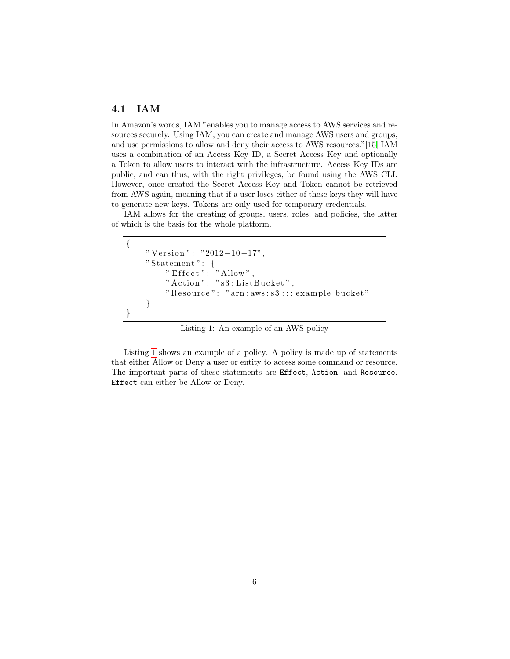### <span id="page-6-0"></span>4.1 IAM

In Amazon's words, IAM "enables you to manage access to AWS services and resources securely. Using IAM, you can create and manage AWS users and groups, and use permissions to allow and deny their access to AWS resources."[\[15\]](#page-17-4) IAM uses a combination of an Access Key ID, a Secret Access Key and optionally a Token to allow users to interact with the infrastructure. Access Key IDs are public, and can thus, with the right privileges, be found using the AWS CLI. However, once created the Secret Access Key and Token cannot be retrieved from AWS again, meaning that if a user loses either of these keys they will have to generate new keys. Tokens are only used for temporary credentials.

IAM allows for the creating of groups, users, roles, and policies, the latter of which is the basis for the whole platform.

```
{
    " Version": "2012-10-17",
     " Statement " : {
         " Effect ": "Allow",
         " Action": "s3:ListBucket",
         " Resource ": " arn : aws : s3 : : : example_bucket"
    }
}
```
Listing 1: An example of an AWS policy

Listing [1](#page-6-1) shows an example of a policy. A policy is made up of statements that either Allow or Deny a user or entity to access some command or resource. The important parts of these statements are Effect, Action, and Resource. Effect can either be Allow or Deny.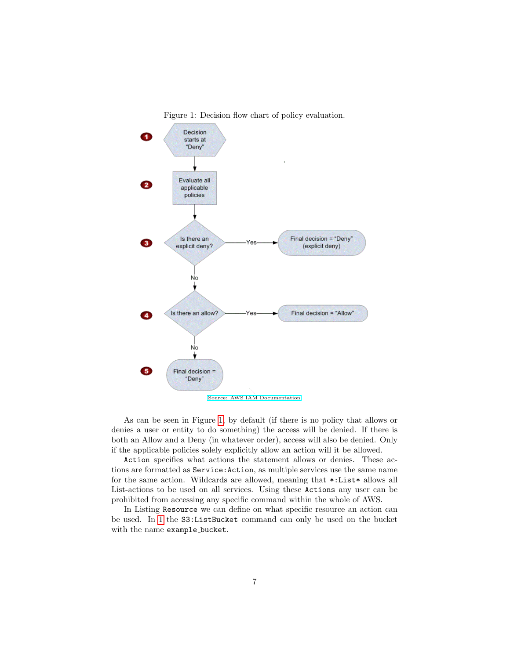<span id="page-7-0"></span>



[Source: AWS IAM Documentation](https://docs.aws.amazon.com/IAM/latest/UserGuide/reference_policies_evaluation-logic.html#policy-eval-denyallow)

As can be seen in Figure [1,](#page-7-0) by default (if there is no policy that allows or denies a user or entity to do something) the access will be denied. If there is both an Allow and a Deny (in whatever order), access will also be denied. Only if the applicable policies solely explicitly allow an action will it be allowed.

Action specifies what actions the statement allows or denies. These actions are formatted as Service:Action, as multiple services use the same name for the same action. Wildcards are allowed, meaning that \*:List\* allows all List-actions to be used on all services. Using these Actions any user can be prohibited from accessing any specific command within the whole of AWS.

In Listing Resource we can define on what specific resource an action can be used. In [1](#page-6-1) the S3:ListBucket command can only be used on the bucket with the name example\_bucket.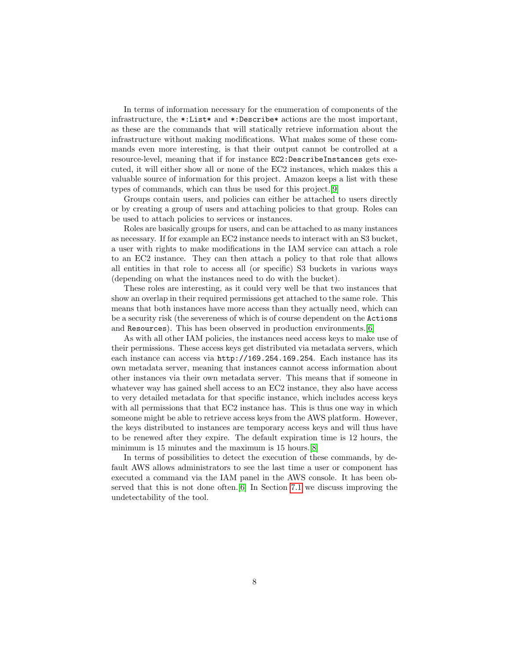In terms of information necessary for the enumeration of components of the infrastructure, the \*:List\* and \*:Describe\* actions are the most important, as these are the commands that will statically retrieve information about the infrastructure without making modifications. What makes some of these commands even more interesting, is that their output cannot be controlled at a resource-level, meaning that if for instance EC2:DescribeInstances gets executed, it will either show all or none of the EC2 instances, which makes this a valuable source of information for this project. Amazon keeps a list with these types of commands, which can thus be used for this project.[\[9\]](#page-17-8)

Groups contain users, and policies can either be attached to users directly or by creating a group of users and attaching policies to that group. Roles can be used to attach policies to services or instances.

Roles are basically groups for users, and can be attached to as many instances as necessary. If for example an EC2 instance needs to interact with an S3 bucket, a user with rights to make modifications in the IAM service can attach a role to an EC2 instance. They can then attach a policy to that role that allows all entities in that role to access all (or specific) S3 buckets in various ways (depending on what the instances need to do with the bucket).

These roles are interesting, as it could very well be that two instances that show an overlap in their required permissions get attached to the same role. This means that both instances have more access than they actually need, which can be a security risk (the severeness of which is of course dependent on the Actions and Resources). This has been observed in production environments.[\[6\]](#page-17-9)

As with all other IAM policies, the instances need access keys to make use of their permissions. These access keys get distributed via metadata servers, which each instance can access via http://169.254.169.254. Each instance has its own metadata server, meaning that instances cannot access information about other instances via their own metadata server. This means that if someone in whatever way has gained shell access to an EC2 instance, they also have access to very detailed metadata for that specific instance, which includes access keys with all permissions that that EC2 instance has. This is thus one way in which someone might be able to retrieve access keys from the AWS platform. However, the keys distributed to instances are temporary access keys and will thus have to be renewed after they expire. The default expiration time is 12 hours, the minimum is 15 minutes and the maximum is 15 hours.[\[8\]](#page-17-10)

In terms of possibilities to detect the execution of these commands, by default AWS allows administrators to see the last time a user or component has executed a command via the IAM panel in the AWS console. It has been observed that this is not done often.[\[6\]](#page-17-9) In Section [7.1](#page-15-1) we discuss improving the undetectability of the tool.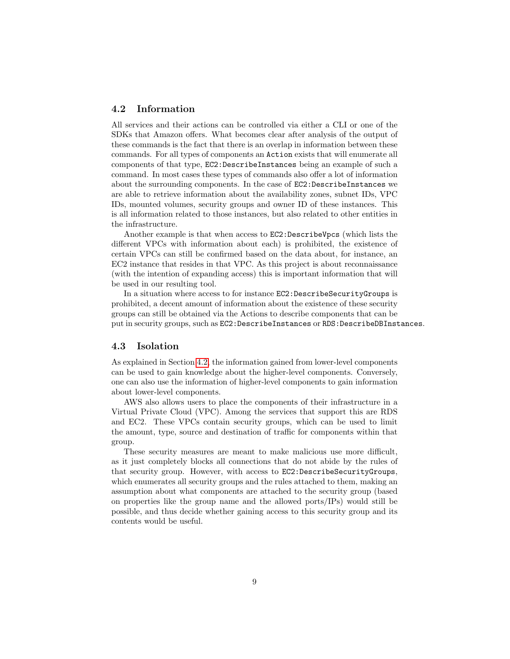### <span id="page-9-0"></span>4.2 Information

All services and their actions can be controlled via either a CLI or one of the SDKs that Amazon offers. What becomes clear after analysis of the output of these commands is the fact that there is an overlap in information between these commands. For all types of components an Action exists that will enumerate all components of that type, EC2:DescribeInstances being an example of such a command. In most cases these types of commands also offer a lot of information about the surrounding components. In the case of EC2:DescribeInstances we are able to retrieve information about the availability zones, subnet IDs, VPC IDs, mounted volumes, security groups and owner ID of these instances. This is all information related to those instances, but also related to other entities in the infrastructure.

Another example is that when access to EC2:DescribeVpcs (which lists the different VPCs with information about each) is prohibited, the existence of certain VPCs can still be confirmed based on the data about, for instance, an EC2 instance that resides in that VPC. As this project is about reconnaissance (with the intention of expanding access) this is important information that will be used in our resulting tool.

In a situation where access to for instance EC2:DescribeSecurityGroups is prohibited, a decent amount of information about the existence of these security groups can still be obtained via the Actions to describe components that can be put in security groups, such as EC2:DescribeInstances or RDS:DescribeDBInstances.

#### <span id="page-9-1"></span>4.3 Isolation

As explained in Section [4.2,](#page-9-0) the information gained from lower-level components can be used to gain knowledge about the higher-level components. Conversely, one can also use the information of higher-level components to gain information about lower-level components.

AWS also allows users to place the components of their infrastructure in a Virtual Private Cloud (VPC). Among the services that support this are RDS and EC2. These VPCs contain security groups, which can be used to limit the amount, type, source and destination of traffic for components within that group.

These security measures are meant to make malicious use more difficult, as it just completely blocks all connections that do not abide by the rules of that security group. However, with access to EC2:DescribeSecurityGroups, which enumerates all security groups and the rules attached to them, making an assumption about what components are attached to the security group (based on properties like the group name and the allowed ports/IPs) would still be possible, and thus decide whether gaining access to this security group and its contents would be useful.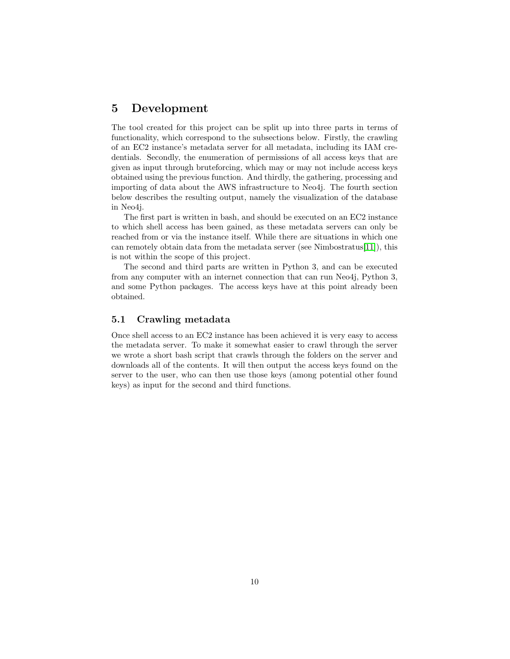# <span id="page-10-0"></span>5 Development

The tool created for this project can be split up into three parts in terms of functionality, which correspond to the subsections below. Firstly, the crawling of an EC2 instance's metadata server for all metadata, including its IAM credentials. Secondly, the enumeration of permissions of all access keys that are given as input through bruteforcing, which may or may not include access keys obtained using the previous function. And thirdly, the gathering, processing and importing of data about the AWS infrastructure to Neo4j. The fourth section below describes the resulting output, namely the visualization of the database in Neo4j.

The first part is written in bash, and should be executed on an EC2 instance to which shell access has been gained, as these metadata servers can only be reached from or via the instance itself. While there are situations in which one can remotely obtain data from the metadata server (see Nimbostratus[\[11\]](#page-17-2)), this is not within the scope of this project.

The second and third parts are written in Python 3, and can be executed from any computer with an internet connection that can run Neo4j, Python 3, and some Python packages. The access keys have at this point already been obtained.

### <span id="page-10-1"></span>5.1 Crawling metadata

Once shell access to an EC2 instance has been achieved it is very easy to access the metadata server. To make it somewhat easier to crawl through the server we wrote a short bash script that crawls through the folders on the server and downloads all of the contents. It will then output the access keys found on the server to the user, who can then use those keys (among potential other found keys) as input for the second and third functions.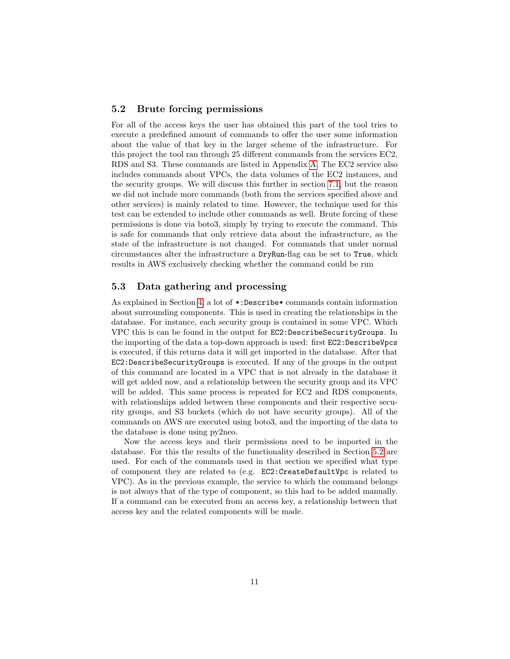### <span id="page-11-0"></span>5.2 Brute forcing permissions

For all of the access keys the user has obtained this part of the tool tries to execute a predefined amount of commands to offer the user some information about the value of that key in the larger scheme of the infrastructure. For this project the tool ran through 25 different commands from the services EC2, RDS and S3. These commands are listed in Appendix [A.](#page-18-0) The EC2 service also includes commands about VPCs, the data volumes of the EC2 instances, and the security groups. We will discuss this further in section [7.1,](#page-15-1) but the reason we did not include more commands (both from the services specified above and other services) is mainly related to time. However, the technique used for this test can be extended to include other commands as well. Brute forcing of these permissions is done via boto3, simply by trying to execute the command. This is safe for commands that only retrieve data about the infrastructure, as the state of the infrastructure is not changed. For commands that under normal circumstances alter the infrastructure a DryRun-flag can be set to True, which results in AWS exclusively checking whether the command could be run

### <span id="page-11-1"></span>5.3 Data gathering and processing

As explained in Section [4,](#page-5-0) a lot of \*:Describe\* commands contain information about surrounding components. This is used in creating the relationships in the database. For instance, each security group is contained in some VPC. Which VPC this is can be found in the output for EC2:DescribeSecurityGroups. In the importing of the data a top-down approach is used: first EC2:DescribeVpcs is executed, if this returns data it will get imported in the database. After that EC2:DescribeSecurityGroups is executed. If any of the groups in the output of this command are located in a VPC that is not already in the database it will get added now, and a relationship between the security group and its VPC will be added. This same process is repeated for EC2 and RDS components, with relationships added between these components and their respective security groups, and S3 buckets (which do not have security groups). All of the commands on AWS are executed using boto3, and the importing of the data to the database is done using py2neo.

Now the access keys and their permissions need to be imported in the database. For this the results of the functionality described in Section [5.2](#page-11-0) are used. For each of the commands used in that section we specified what type of component they are related to (e.g. EC2:CreateDefaultVpc is related to VPC). As in the previous example, the service to which the command belongs is not always that of the type of component, so this had to be added manually. If a command can be executed from an access key, a relationship between that access key and the related components will be made.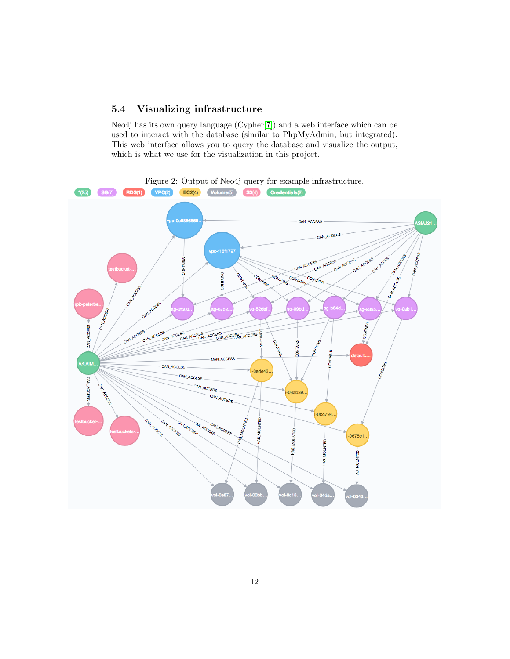### <span id="page-12-0"></span>5.4 Visualizing infrastructure

<span id="page-12-1"></span>Neo4j has its own query language (Cypher[\[7\]](#page-17-11)) and a web interface which can be used to interact with the database (similar to PhpMyAdmin, but integrated). This web interface allows you to query the database and visualize the output, which is what we use for the visualization in this project.

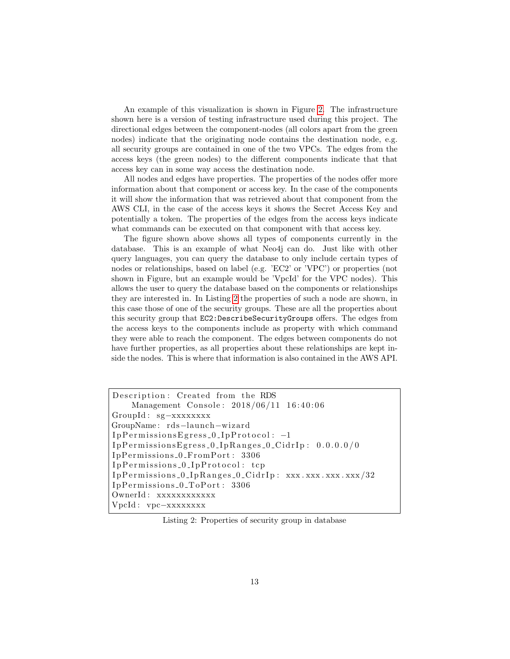An example of this visualization is shown in Figure [2.](#page-12-1) The infrastructure shown here is a version of testing infrastructure used during this project. The directional edges between the component-nodes (all colors apart from the green nodes) indicate that the originating node contains the destination node, e.g. all security groups are contained in one of the two VPCs. The edges from the access keys (the green nodes) to the different components indicate that that access key can in some way access the destination node.

All nodes and edges have properties. The properties of the nodes offer more information about that component or access key. In the case of the components it will show the information that was retrieved about that component from the AWS CLI, in the case of the access keys it shows the Secret Access Key and potentially a token. The properties of the edges from the access keys indicate what commands can be executed on that component with that access key.

The figure shown above shows all types of components currently in the database. This is an example of what Neo4j can do. Just like with other query languages, you can query the database to only include certain types of nodes or relationships, based on label (e.g. 'EC2' or 'VPC') or properties (not shown in Figure, but an example would be 'VpcId' for the VPC nodes). This allows the user to query the database based on the components or relationships they are interested in. In Listing [2](#page-13-0) the properties of such a node are shown, in this case those of one of the security groups. These are all the properties about this security group that EC2:DescribeSecurityGroups offers. The edges from the access keys to the components include as property with which command they were able to reach the component. The edges between components do not have further properties, as all properties about these relationships are kept inside the nodes. This is where that information is also contained in the AWS API.

<span id="page-13-0"></span>Description: Created from the RDS Management Console:  $2018/06/11$  16:40:06 GroupId : sg−xxxxxxxx GroupName : rds−launch−wiz a rd IpPermissionsEgress\_0\_IpProtocol: -1  $I$ p $P$ ermissionsEgress\_0\_Ip $R$ anges\_0\_CidrIp:  $0.0.0$ .0.0/0 IpPermissions\_0\_FromPort: 3306  $Ip\text{Permissions_0_Ip\text{Protocol}: top}$  $I$ pPermissions\_0\_IpRanges\_0\_CidrIp: xxx.xxx.xxx.xxx/32 IpPermissions\_0\_ToPort: 3306 OwnerId: xxxxxxxxxxxx VpcId : vpc−xxxxxxxx

Listing 2: Properties of security group in database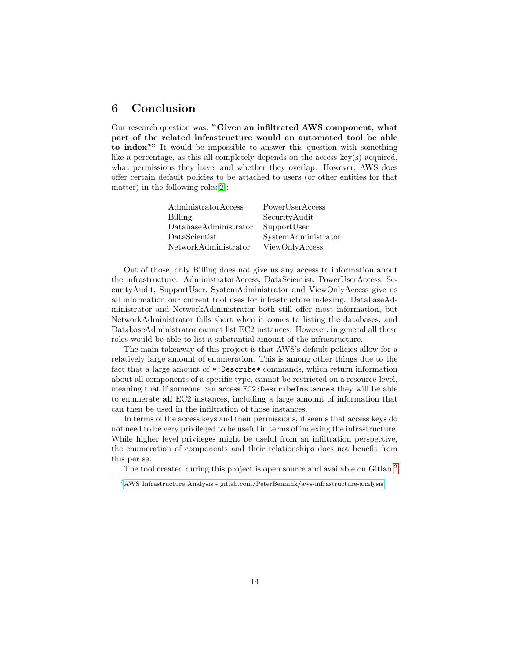# <span id="page-14-0"></span>6 Conclusion

Our research question was: "Given an infiltrated AWS component, what part of the related infrastructure would an automated tool be able to index?" It would be impossible to answer this question with something like a percentage, as this all completely depends on the access key(s) acquired, what permissions they have, and whether they overlap. However, AWS does offer certain default policies to be attached to users (or other entities for that matter) in the following roles[\[2\]](#page-17-12):

| $\rm{AdministratorAccess}$ | PowerUserAccess     |
|----------------------------|---------------------|
| <b>Billing</b>             | SecurityAudit       |
| DatabaseAdministrator      | SupportUser         |
| $\mathrm{DataScientist}$   | SystemAdministrator |
| NetworkAdministrator       | ViewOnlyAccess      |

Out of those, only Billing does not give us any access to information about the infrastructure. AdministratorAccess, DataScientist, PowerUserAccess, SecurityAudit, SupportUser, SystemAdministrator and ViewOnlyAccess give us all information our current tool uses for infrastructure indexing. DatabaseAdministrator and NetworkAdministrator both still offer most information, but NetworkAdministrator falls short when it comes to listing the databases, and DatabaseAdministrator cannot list EC2 instances. However, in general all these roles would be able to list a substantial amount of the infrastructure.

The main takeaway of this project is that AWS's default policies allow for a relatively large amount of enumeration. This is among other things due to the fact that a large amount of \*:Describe\* commands, which return information about all components of a specific type, cannot be restricted on a resource-level, meaning that if someone can access EC2:DescribeInstances they will be able to enumerate all EC2 instances, including a large amount of information that can then be used in the infiltration of those instances.

In terms of the access keys and their permissions, it seems that access keys do not need to be very privileged to be useful in terms of indexing the infrastructure. While higher level privileges might be useful from an infiltration perspective, the enumeration of components and their relationships does not benefit from this per se.

The tool created during this project is open source and available on Gitlab.<sup>[2](#page-14-1)</sup>

<span id="page-14-1"></span><sup>2</sup>[AWS Infrastructure Analysis - gitlab.com/PeterBennink/aws-infrastructure-analysis](https://gitlab.com/PeterBennink/aws-infrastructure-analysis)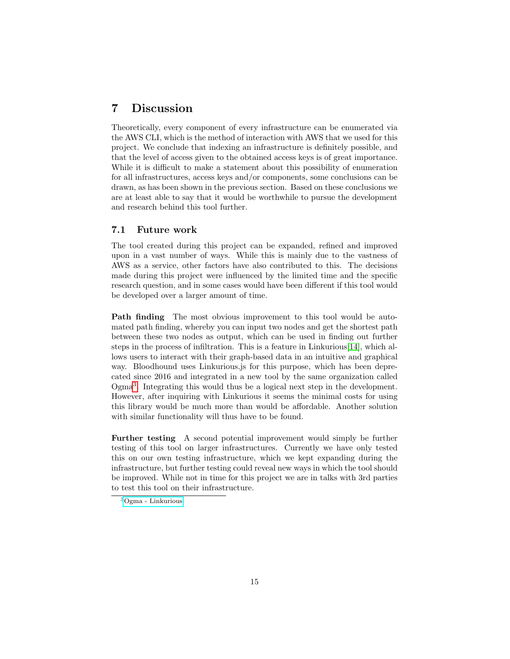# <span id="page-15-0"></span>7 Discussion

Theoretically, every component of every infrastructure can be enumerated via the AWS CLI, which is the method of interaction with AWS that we used for this project. We conclude that indexing an infrastructure is definitely possible, and that the level of access given to the obtained access keys is of great importance. While it is difficult to make a statement about this possibility of enumeration for all infrastructures, access keys and/or components, some conclusions can be drawn, as has been shown in the previous section. Based on these conclusions we are at least able to say that it would be worthwhile to pursue the development and research behind this tool further.

### <span id="page-15-1"></span>7.1 Future work

The tool created during this project can be expanded, refined and improved upon in a vast number of ways. While this is mainly due to the vastness of AWS as a service, other factors have also contributed to this. The decisions made during this project were influenced by the limited time and the specific research question, and in some cases would have been different if this tool would be developed over a larger amount of time.

Path finding The most obvious improvement to this tool would be automated path finding, whereby you can input two nodes and get the shortest path between these two nodes as output, which can be used in finding out further steps in the process of infiltration. This is a feature in Linkurious[\[14\]](#page-17-13), which allows users to interact with their graph-based data in an intuitive and graphical way. Bloodhound uses Linkurious.js for this purpose, which has been deprecated since 2016 and integrated in a new tool by the same organization called Ogma[3](#page-15-2) . Integrating this would thus be a logical next step in the development. However, after inquiring with Linkurious it seems the minimal costs for using this library would be much more than would be affordable. Another solution with similar functionality will thus have to be found.

Further testing A second potential improvement would simply be further testing of this tool on larger infrastructures. Currently we have only tested this on our own testing infrastructure, which we kept expanding during the infrastructure, but further testing could reveal new ways in which the tool should be improved. While not in time for this project we are in talks with 3rd parties to test this tool on their infrastructure.

<span id="page-15-2"></span><sup>3</sup>[Ogma - Linkurious](https://linkurio.us/blog/ogma-js-library-large-scale-graph-visualization/)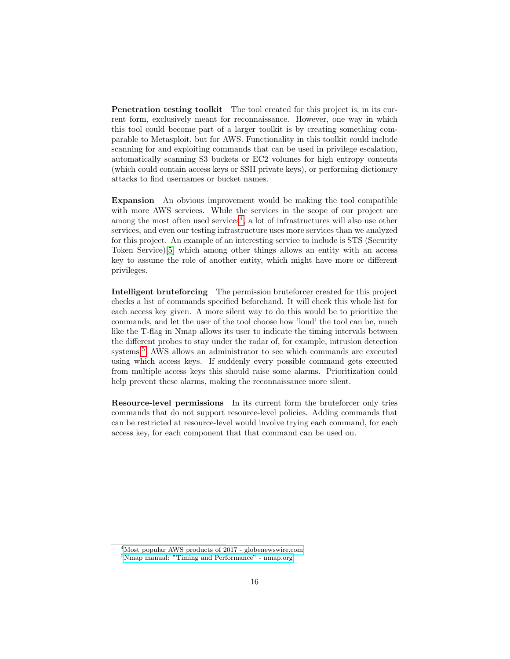Penetration testing toolkit The tool created for this project is, in its current form, exclusively meant for reconnaissance. However, one way in which this tool could become part of a larger toolkit is by creating something comparable to Metasploit, but for AWS. Functionality in this toolkit could include scanning for and exploiting commands that can be used in privilege escalation, automatically scanning S3 buckets or EC2 volumes for high entropy contents (which could contain access keys or SSH private keys), or performing dictionary attacks to find usernames or bucket names.

Expansion An obvious improvement would be making the tool compatible with more AWS services. While the services in the scope of our project are among the most often used services<sup>[4](#page-16-0)</sup>, a lot of infrastructures will also use other services, and even our testing infrastructure uses more services than we analyzed for this project. An example of an interesting service to include is STS (Security Token Service)[\[5\]](#page-17-14) which among other things allows an entity with an access key to assume the role of another entity, which might have more or different privileges.

Intelligent bruteforcing The permission bruteforcer created for this project checks a list of commands specified beforehand. It will check this whole list for each access key given. A more silent way to do this would be to prioritize the commands, and let the user of the tool choose how 'loud' the tool can be, much like the T-flag in Nmap allows its user to indicate the timing intervals between the different probes to stay under the radar of, for example, intrusion detection systems.<sup>[5](#page-16-1)</sup> AWS allows an administrator to see which commands are executed using which access keys. If suddenly every possible command gets executed from multiple access keys this should raise some alarms. Prioritization could help prevent these alarms, making the reconnaissance more silent.

Resource-level permissions In its current form the bruteforcer only tries commands that do not support resource-level policies. Adding commands that can be restricted at resource-level would involve trying each command, for each access key, for each component that that command can be used on.

<span id="page-16-0"></span><sup>4</sup>[Most popular AWS products of 2017 - globenewswire.com](https://globenewswire.com/news-release/2018/02/01/1329867/0/en/2nd-Watch-Identifies-the-Most-Popular-AWS-Products-of-2017.html)

<span id="page-16-1"></span><sup>5</sup>[Nmap manual: "Timing and Performance" - nmap.org](https://nmap.org/book/man-performance.html)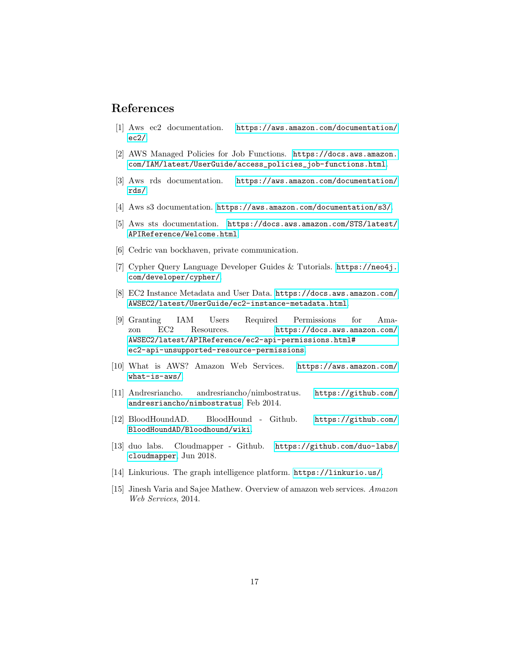### References

- <span id="page-17-5"></span>[1] Aws ec2 documentation. [https://aws.amazon.com/documentation/](https://aws.amazon.com/documentation/ec2/) [ec2/](https://aws.amazon.com/documentation/ec2/).
- <span id="page-17-12"></span>[2] AWS Managed Policies for Job Functions. [https://docs.aws.amazon.](https://docs.aws.amazon.com/IAM/latest/UserGuide/access_policies_job-functions.html) [com/IAM/latest/UserGuide/access\\_policies\\_job-functions.html](https://docs.aws.amazon.com/IAM/latest/UserGuide/access_policies_job-functions.html).
- <span id="page-17-7"></span>[3] Aws rds documentation. [https://aws.amazon.com/documentation/](https://aws.amazon.com/documentation/rds/) [rds/](https://aws.amazon.com/documentation/rds/).
- <span id="page-17-6"></span>[4] Aws s3 documentation. <https://aws.amazon.com/documentation/s3/>.
- <span id="page-17-14"></span>[5] Aws sts documentation. [https://docs.aws.amazon.com/STS/latest/](https://docs.aws.amazon.com/STS/latest/APIReference/Welcome.html) [APIReference/Welcome.html](https://docs.aws.amazon.com/STS/latest/APIReference/Welcome.html).
- <span id="page-17-9"></span>[6] Cedric van bockhaven, private communication.
- <span id="page-17-11"></span>[7] Cypher Query Language Developer Guides & Tutorials. [https://neo4j.](https://neo4j.com/developer/cypher/) [com/developer/cypher/](https://neo4j.com/developer/cypher/).
- <span id="page-17-10"></span>[8] EC2 Instance Metadata and User Data. [https://docs.aws.amazon.com/](https://docs.aws.amazon.com/AWSEC2/latest/UserGuide/ec2-instance-metadata.html) [AWSEC2/latest/UserGuide/ec2-instance-metadata.html](https://docs.aws.amazon.com/AWSEC2/latest/UserGuide/ec2-instance-metadata.html).
- <span id="page-17-8"></span>[9] Granting IAM Users Required Permissions for Amazon EC2 Resources. [https://docs.aws.amazon.com/](https://docs.aws.amazon.com/AWSEC2/latest/APIReference/ec2-api-permissions.html#ec2-api-unsupported-resource-permissions) [AWSEC2/latest/APIReference/ec2-api-permissions.html#](https://docs.aws.amazon.com/AWSEC2/latest/APIReference/ec2-api-permissions.html#ec2-api-unsupported-resource-permissions) [ec2-api-unsupported-resource-permissions](https://docs.aws.amazon.com/AWSEC2/latest/APIReference/ec2-api-permissions.html#ec2-api-unsupported-resource-permissions).
- <span id="page-17-0"></span>[10] What is AWS? Amazon Web Services. [https://aws.amazon.com/](https://aws.amazon.com/what-is-aws/) [what-is-aws/](https://aws.amazon.com/what-is-aws/).
- <span id="page-17-2"></span>[11] Andresriancho. andresriancho/nimbostratus. [https://github.com/](https://github.com/andresriancho/nimbostratus) [andresriancho/nimbostratus](https://github.com/andresriancho/nimbostratus), Feb 2014.
- <span id="page-17-1"></span>[12] BloodHoundAD. BloodHound - Github. [https://github.com/](https://github.com/BloodHoundAD/Bloodhound/wiki) [BloodHoundAD/Bloodhound/wiki](https://github.com/BloodHoundAD/Bloodhound/wiki).
- <span id="page-17-3"></span>[13] duo labs. Cloudmapper - Github. [https://github.com/duo-labs/](https://github.com/duo-labs/cloudmapper) [cloudmapper](https://github.com/duo-labs/cloudmapper), Jun 2018.
- <span id="page-17-13"></span>[14] Linkurious. The graph intelligence platform. <https://linkurio.us/>.
- <span id="page-17-4"></span>[15] Jinesh Varia and Sajee Mathew. Overview of amazon web services. Amazon Web Services, 2014.